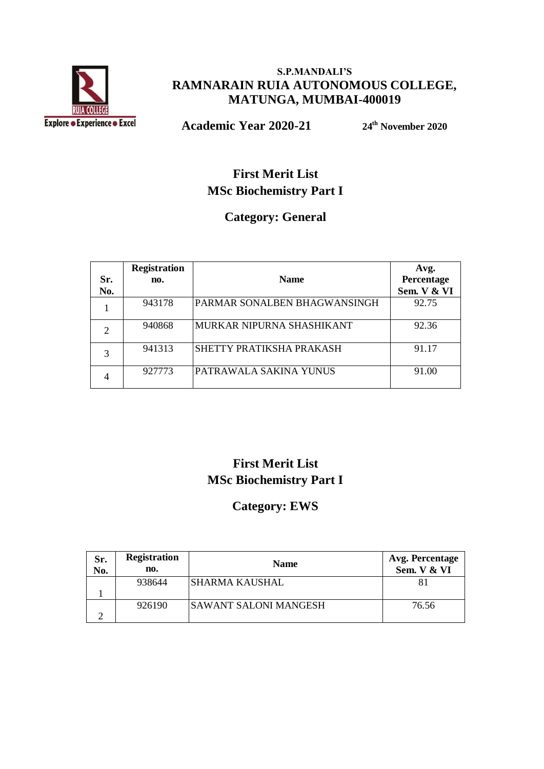

#### **S.P.MANDALI'S RAMNARAIN RUIA AUTONOMOUS COLLEGE, MATUNGA, MUMBAI-400019**

**Academic Year 2020-21 24th November 2020**

#### **First Merit List MSc Biochemistry Part I**

#### **Category: General**

|     | <b>Registration</b> |                              | Avg.        |
|-----|---------------------|------------------------------|-------------|
| Sr. | no.                 | <b>Name</b>                  | Percentage  |
| No. |                     |                              | Sem. V & VI |
|     | 943178              | PARMAR SONALBEN BHAGWANSINGH | 92.75       |
|     | 940868              | MURKAR NIPURNA SHASHIKANT    | 92.36       |
|     | 941313              | SHETTY PRATIKSHA PRAKASH     | 91.17       |
|     | 927773              | PATRAWALA SAKINA YUNUS       | 91.00       |

#### **First Merit List MSc Biochemistry Part I**

#### **Category: EWS**

| Sr.<br>No. | <b>Registration</b><br>no. | <b>Name</b>                  | Avg. Percentage<br>Sem. V & VI |
|------------|----------------------------|------------------------------|--------------------------------|
|            | 938644                     | <b>SHARMA KAUSHAL</b>        | 81                             |
|            |                            |                              |                                |
|            | 926190                     | <b>SAWANT SALONI MANGESH</b> | 76.56                          |
|            |                            |                              |                                |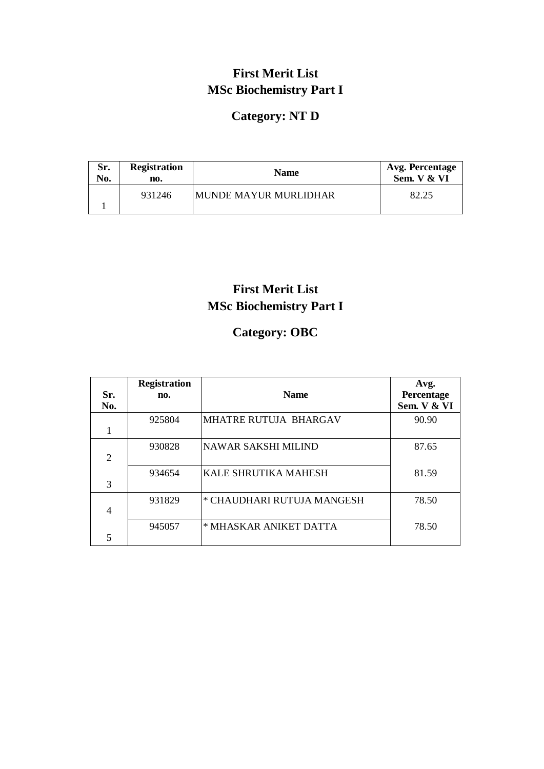## **First Merit List MSc Biochemistry Part I**

## **Category: NT D**

| Sr. | <b>Registration</b> | <b>Name</b>            | <b>Avg. Percentage</b> |
|-----|---------------------|------------------------|------------------------|
| No. | no.                 |                        | Sem. V & VI            |
|     | 931246              | IMUNDE MAYUR MURLIDHAR | 82.25                  |

## **First Merit List MSc Biochemistry Part I**

## **Category: OBC**

|               | <b>Registration</b> |                             | Avg.        |
|---------------|---------------------|-----------------------------|-------------|
| Sr.           | no.                 | <b>Name</b>                 | Percentage  |
| No.           |                     |                             | Sem. V & VI |
|               | 925804              | MHATRE RUTUJA BHARGAV       | 90.90       |
|               |                     |                             |             |
|               | 930828              | <b>NAWAR SAKSHI MILIND</b>  | 87.65       |
| 2             |                     |                             |             |
|               | 934654              | <b>KALE SHRUTIKA MAHESH</b> | 81.59       |
| $\mathcal{R}$ |                     |                             |             |
|               | 931829              | * CHAUDHARI RUTUJA MANGESH  | 78.50       |
| 4             |                     |                             |             |
|               | 945057              | * MHASKAR ANIKET DATTA      | 78.50       |
| 5             |                     |                             |             |